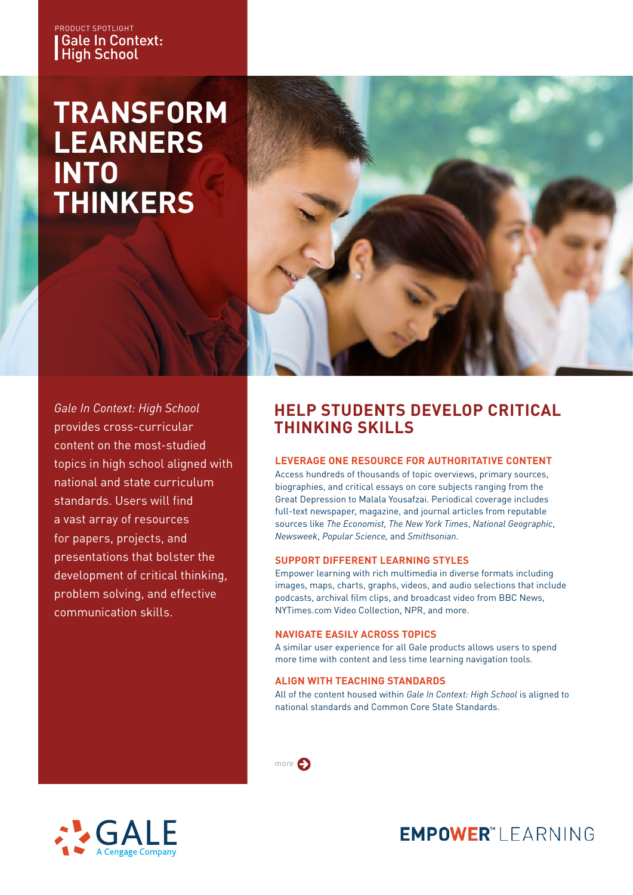### Gale In Context: High School PRODUCT SPOTLIGHT

# **TRANSFORM LEARNERS INTO THINKERS**



*Gale In Context: High School*  provides cross-curricular content on the most-studied topics in high school aligned with national and state curriculum standards. Users will find a vast array of resources for papers, projects, and presentations that bolster the development of critical thinking, problem solving, and effective communication skills.

## **HELP STUDENTS DEVELOP CRITICAL THINKING SKILLS**

### **LEVERAGE ONE RESOURCE FOR AUTHORITATIVE CONTENT**

Access hundreds of thousands of topic overviews, primary sources, biographies, and critical essays on core subjects ranging from the Great Depression to Malala Yousafzai. Periodical coverage includes full-text newspaper, magazine, and journal articles from reputable sources like *The Economist, The New York Times*, *National Geographic*, *Newsweek*, *Popular Science,* and *Smithsonian*.

### **SUPPORT DIFFERENT LEARNING STYLES**

Empower learning with rich multimedia in diverse formats including images, maps, charts, graphs, videos, and audio selections that include podcasts, archival film clips, and broadcast video from BBC News, NYTimes.com Video Collection, NPR, and more.

### **NAVIGATE EASILY ACROSS TOPICS**

A similar user experience for all Gale products allows users to spend more time with content and less time learning navigation tools.

### **ALIGN WITH TEACHING STANDARDS**

All of the content housed within *Gale In Context: High School* is aligned to national standards and Common Core State Standards.





# **EMPOWER**"I FARNING